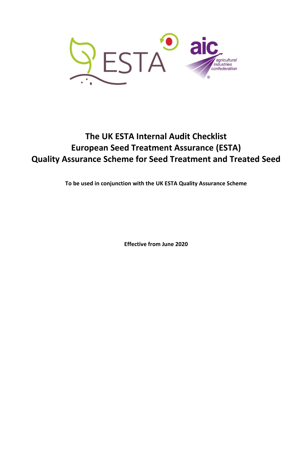

## **The UK ESTA Internal Audit Checklist European Seed Treatment Assurance (ESTA) Quality Assurance Scheme for Seed Treatment and Treated Seed**

**To be used in conjunction with the UK ESTA Quality Assurance Scheme**

**Effective from June 2020**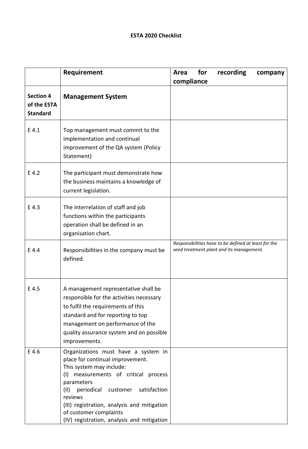## **ESTA 2020 Checklist**

|                                                    | Requirement                                                                                                                                                                                                                                                                                                                                   | for<br>recording<br>Area<br>company<br>compliance                                                |
|----------------------------------------------------|-----------------------------------------------------------------------------------------------------------------------------------------------------------------------------------------------------------------------------------------------------------------------------------------------------------------------------------------------|--------------------------------------------------------------------------------------------------|
| <b>Section 4</b><br>of the ESTA<br><b>Standard</b> | <b>Management System</b>                                                                                                                                                                                                                                                                                                                      |                                                                                                  |
| E 4.1                                              | Top management must commit to the<br>implementation and continual<br>improvement of the QA system (Policy<br>Statement)                                                                                                                                                                                                                       |                                                                                                  |
| E 4.2                                              | The participant must demonstrate how<br>the business maintains a knowledge of<br>current legislation.                                                                                                                                                                                                                                         |                                                                                                  |
| E 4.3                                              | The interrelation of staff and job<br>functions within the participants<br>operation shall be defined in an<br>organisation chart.                                                                                                                                                                                                            |                                                                                                  |
| E 4.4                                              | Responsibilities in the company must be<br>defined.                                                                                                                                                                                                                                                                                           | Responsibilities have to be defined at least for the<br>seed treatment plant and its management. |
| E 4.5                                              | A management representative shall be<br>responsible for the activities necessary<br>to fulfil the requirements of this<br>standard and for reporting to top<br>management on performance of the<br>quality assurance system and on possible<br>improvements.                                                                                  |                                                                                                  |
| E 4.6                                              | Organizations must have a system in<br>place for continual improvement.<br>This system may include:<br>measurements of critical process<br>(1)<br>parameters<br>(11)<br>periodical customer<br>satisfaction<br>reviews<br>(III) registration, analysis and mitigation<br>of customer complaints<br>(IV) registration, analysis and mitigation |                                                                                                  |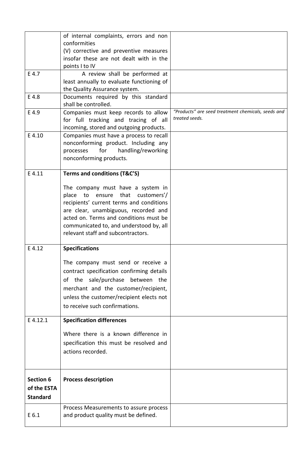|                 | of internal complaints, errors and non<br>conformities                          |                                                                      |
|-----------------|---------------------------------------------------------------------------------|----------------------------------------------------------------------|
|                 | (V) corrective and preventive measures                                          |                                                                      |
|                 | insofar these are not dealt with in the<br>points I to IV                       |                                                                      |
| E 4.7           | A review shall be performed at                                                  |                                                                      |
|                 | least annually to evaluate functioning of                                       |                                                                      |
| E 4.8           | the Quality Assurance system.<br>Documents required by this standard            |                                                                      |
|                 | shall be controlled.                                                            |                                                                      |
| E 4.9           | Companies must keep records to allow                                            | "Products" are seed treatment chemicals, seeds and<br>treated seeds. |
|                 | for full tracking and tracing of all<br>incoming, stored and outgoing products. |                                                                      |
| E 4.10          | Companies must have a process to recall                                         |                                                                      |
|                 | nonconforming product. Including any                                            |                                                                      |
|                 | handling/reworking<br>processes<br>for                                          |                                                                      |
|                 | nonconforming products.                                                         |                                                                      |
| E 4.11          | Terms and conditions (T&C'S)                                                    |                                                                      |
|                 | The company must have a system in                                               |                                                                      |
|                 | place to ensure that customers'/                                                |                                                                      |
|                 | recipients' current terms and conditions                                        |                                                                      |
|                 | are clear, unambiguous, recorded and<br>acted on. Terms and conditions must be  |                                                                      |
|                 | communicated to, and understood by, all                                         |                                                                      |
|                 | relevant staff and subcontractors.                                              |                                                                      |
| E 4.12          | <b>Specifications</b>                                                           |                                                                      |
|                 | The company must send or receive a                                              |                                                                      |
|                 | contract specification confirming details                                       |                                                                      |
|                 | of the sale/purchase between the                                                |                                                                      |
|                 | merchant and the customer/recipient,                                            |                                                                      |
|                 | unless the customer/recipient elects not                                        |                                                                      |
|                 | to receive such confirmations.                                                  |                                                                      |
| E 4.12.1        | <b>Specification differences</b>                                                |                                                                      |
|                 | Where there is a known difference in                                            |                                                                      |
|                 | specification this must be resolved and                                         |                                                                      |
|                 | actions recorded.                                                               |                                                                      |
|                 |                                                                                 |                                                                      |
| Section 6       | <b>Process description</b>                                                      |                                                                      |
| of the ESTA     |                                                                                 |                                                                      |
| <b>Standard</b> |                                                                                 |                                                                      |
|                 | Process Measurements to assure process                                          |                                                                      |
| E 6.1           | and product quality must be defined.                                            |                                                                      |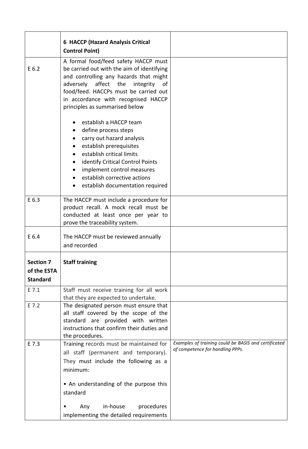|                                                    | <b>6 HACCP (Hazard Analysis Critical</b><br><b>Control Point)</b>                                                                                                                                                                                                                                        |                                                                                          |
|----------------------------------------------------|----------------------------------------------------------------------------------------------------------------------------------------------------------------------------------------------------------------------------------------------------------------------------------------------------------|------------------------------------------------------------------------------------------|
| E 6.2                                              | A formal food/feed safety HACCP must<br>be carried out with the aim of identifying<br>and controlling any hazards that might<br>affect the<br>adversely<br>integrity<br>of<br>food/feed. HACCPs must be carried out<br>in accordance with recognised HACCP<br>principles as summarised below             |                                                                                          |
|                                                    | establish a HACCP team<br>define process steps<br>٠<br>carry out hazard analysis<br>establish prerequisites<br>establish critical limits<br>identify Critical Control Points<br>$\bullet$<br>implement control measures<br>$\bullet$<br>establish corrective actions<br>establish documentation required |                                                                                          |
| E 6.3                                              | The HACCP must include a procedure for<br>product recall. A mock recall must be<br>conducted at least once per year to<br>prove the traceability system.                                                                                                                                                 |                                                                                          |
| E 6.4                                              | The HACCP must be reviewed annually<br>and recorded                                                                                                                                                                                                                                                      |                                                                                          |
| <b>Section 7</b><br>of the ESTA<br><b>Standard</b> | <b>Staff training</b>                                                                                                                                                                                                                                                                                    |                                                                                          |
| E 7.1                                              | Staff must receive training for all work<br>that they are expected to undertake.                                                                                                                                                                                                                         |                                                                                          |
| E 7.2                                              | The designated person must ensure that<br>all staff covered by the scope of the<br>standard are provided with written<br>instructions that confirm their duties and<br>the procedures.                                                                                                                   |                                                                                          |
| E 7.3                                              | Training records must be maintained for<br>all staff (permanent and temporary).<br>They must include the following as a<br>minimum:<br>• An understanding of the purpose this<br>standard<br>in-house<br>procedures<br>Any                                                                               | Examples of training could be BASIS and certificated<br>of competence for handling PPPs. |
|                                                    | implementing the detailed requirements                                                                                                                                                                                                                                                                   |                                                                                          |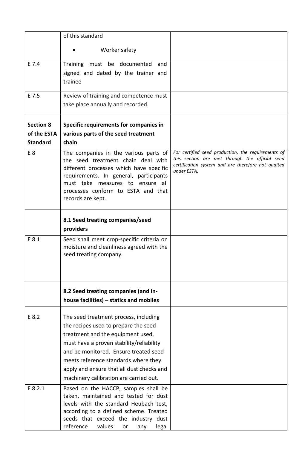|                                                    | of this standard                                                                                                                                                                                                                                                                                                                       |                                                                                                                                                                           |
|----------------------------------------------------|----------------------------------------------------------------------------------------------------------------------------------------------------------------------------------------------------------------------------------------------------------------------------------------------------------------------------------------|---------------------------------------------------------------------------------------------------------------------------------------------------------------------------|
|                                                    | Worker safety                                                                                                                                                                                                                                                                                                                          |                                                                                                                                                                           |
| E 7.4                                              | Training must be documented<br>and<br>signed and dated by the trainer and<br>trainee                                                                                                                                                                                                                                                   |                                                                                                                                                                           |
| E 7.5                                              | Review of training and competence must                                                                                                                                                                                                                                                                                                 |                                                                                                                                                                           |
|                                                    | take place annually and recorded.                                                                                                                                                                                                                                                                                                      |                                                                                                                                                                           |
| <b>Section 8</b><br>of the ESTA<br><b>Standard</b> | Specific requirements for companies in<br>various parts of the seed treatment<br>chain                                                                                                                                                                                                                                                 |                                                                                                                                                                           |
| E <sub>8</sub>                                     | The companies in the various parts of<br>the seed treatment chain deal with<br>different processes which have specific<br>requirements. In general, participants<br>must take measures to ensure all<br>processes conform to ESTA and that<br>records are kept.                                                                        | For certified seed production, the requirements of<br>this section are met through the official seed<br>certification system and are therefore not audited<br>under ESTA. |
|                                                    | 8.1 Seed treating companies/seed<br>providers                                                                                                                                                                                                                                                                                          |                                                                                                                                                                           |
| E 8.1                                              | Seed shall meet crop-specific criteria on<br>moisture and cleanliness agreed with the<br>seed treating company.                                                                                                                                                                                                                        |                                                                                                                                                                           |
|                                                    | 8.2 Seed treating companies (and in-<br>house facilities) - statics and mobiles                                                                                                                                                                                                                                                        |                                                                                                                                                                           |
| E 8.2                                              | The seed treatment process, including<br>the recipes used to prepare the seed<br>treatment and the equipment used,<br>must have a proven stability/reliability<br>and be monitored. Ensure treated seed<br>meets reference standards where they<br>apply and ensure that all dust checks and<br>machinery calibration are carried out. |                                                                                                                                                                           |
| E 8.2.1                                            | Based on the HACCP, samples shall be<br>taken, maintained and tested for dust<br>levels with the standard Heubach test,<br>according to a defined scheme. Treated<br>seeds that exceed the industry dust<br>reference<br>values<br>legal<br>or<br>any                                                                                  |                                                                                                                                                                           |